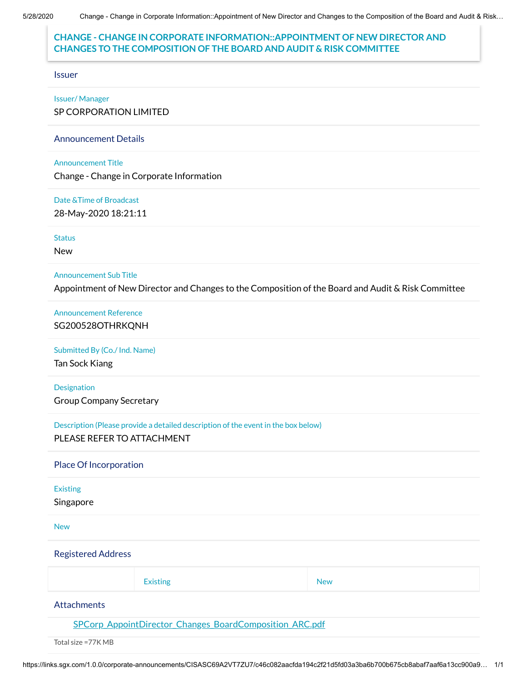#### **CHANGE - CHANGE IN CORPORATE INFORMATION::APPOINTMENT OF NEW DIRECTOR AND CHANGES TO THE COMPOSITION OF THE BOARD AND AUDIT & RISK COMMITTEE**

Issuer

Issuer/ Manager

SP CORPORATION LIMITED

Announcement Details

Announcement Title

Change - Change in Corporate Information

Date &Time of Broadcast

28-May-2020 18:21:11

**Status** 

New

Announcement Sub Title

Appointment of New Director and Changes to the Composition of the Board and Audit & Risk Committee

Announcement Reference SG200528OTHRKQNH

Submitted By (Co./ Ind. Name)

Tan Sock Kiang

Designation Group Company Secretary

Description (Please provide a detailed description of the event in the box below) PLEASE REFER TO ATTACHMENT

Place Of Incorporation

Existing

Singapore

New

Registered Address

| <b>Existing</b> | <b>New</b> |
|-----------------|------------|
|                 |            |

**Attachments** 

[SPCorp\\_AppointDirector\\_Changes\\_BoardComposition\\_ARC.pdf](https://links.sgx.com/1.0.0/corporate-announcements/CISASC69A2VT7ZU7/SPCorp_AppointDirector_Changes_BoardComposition_ARC.pdf)

Total size =77K MB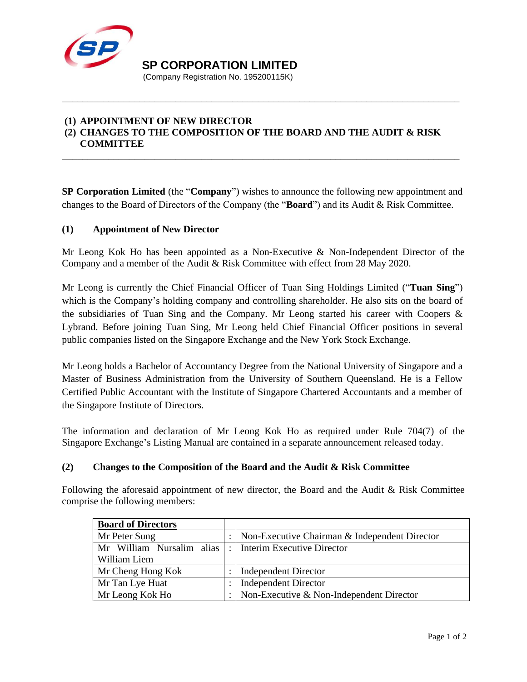

**SP CORPORATION LIMITED** 

(Company Registration No. 195200115K)

## **(1) APPOINTMENT OF NEW DIRECTOR (2) CHANGES TO THE COMPOSITION OF THE BOARD AND THE AUDIT & RISK**

\_\_\_\_\_\_\_\_\_\_\_\_\_\_\_\_\_\_\_\_\_\_\_\_\_\_\_\_\_\_\_\_\_\_\_\_\_\_\_\_\_\_\_\_\_\_\_\_\_\_\_\_\_\_\_\_\_\_\_\_\_\_\_\_\_\_\_\_\_\_\_\_\_\_\_\_\_

**COMMITTEE**

**SP Corporation Limited** (the "**Company**") wishes to announce the following new appointment and changes to the Board of Directors of the Company (the "**Board**") and its Audit & Risk Committee.

\_\_\_\_\_\_\_\_\_\_\_\_\_\_\_\_\_\_\_\_\_\_\_\_\_\_\_\_\_\_\_\_\_\_\_\_\_\_\_\_\_\_\_\_\_\_\_\_\_\_\_\_\_\_\_\_\_\_\_\_\_\_\_\_\_\_\_\_\_\_\_\_\_\_\_\_\_

### **(1) Appointment of New Director**

Mr Leong Kok Ho has been appointed as a Non-Executive & Non-Independent Director of the Company and a member of the Audit & Risk Committee with effect from 28 May 2020.

Mr Leong is currently the Chief Financial Officer of Tuan Sing Holdings Limited ("**Tuan Sing**") which is the Company's holding company and controlling shareholder. He also sits on the board of the subsidiaries of Tuan Sing and the Company. Mr Leong started his career with Coopers & Lybrand. Before joining Tuan Sing, Mr Leong held Chief Financial Officer positions in several public companies listed on the Singapore Exchange and the New York Stock Exchange.

Mr Leong holds a Bachelor of Accountancy Degree from the National University of Singapore and a Master of Business Administration from the University of Southern Queensland. He is a Fellow Certified Public Accountant with the Institute of Singapore Chartered Accountants and a member of the Singapore Institute of Directors.

The information and declaration of Mr Leong Kok Ho as required under Rule 704(7) of the Singapore Exchange's Listing Manual are contained in a separate announcement released today.

#### **(2) Changes to the Composition of the Board and the Audit & Risk Committee**

Following the aforesaid appointment of new director, the Board and the Audit & Risk Committee comprise the following members:

| <b>Board of Directors</b>                                 |  |                                               |
|-----------------------------------------------------------|--|-----------------------------------------------|
| Mr Peter Sung                                             |  | Non-Executive Chairman & Independent Director |
| Mr William Nursalim alias  :   Interim Executive Director |  |                                               |
| William Liem                                              |  |                                               |
| Mr Cheng Hong Kok                                         |  | <b>Independent Director</b>                   |
| Mr Tan Lye Huat                                           |  | <b>Independent Director</b>                   |
| Mr Leong Kok Ho                                           |  | Non-Executive $&$ Non-Independent Director    |